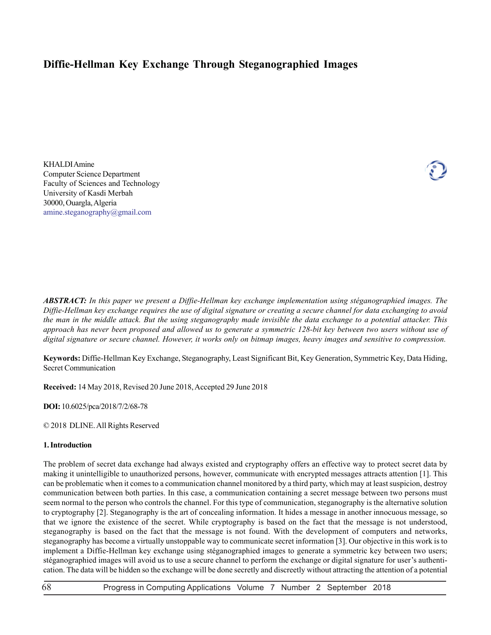# **Diffie-Hellman Key Exchange Through Steganographied Images**

KHALDI Amine Computer Science Department Faculty of Sciences and Technology University of Kasdi Merbah 30000, Ouargla, Algeria amine.steganography@gmail.com



*ABSTRACT: In this paper we present a Diffie-Hellman key exchange implementation using stéganographied images. The Diffie-Hellman key exchange requires the use of digital signature or creating a secure channel for data exchanging to avoid the man in the middle attack. But the using steganography made invisible the data exchange to a potential attacker. This approach has never been proposed and allowed us to generate a symmetric 128-bit key between two users without use of digital signature or secure channel. However, it works only on bitmap images, heavy images and sensitive to compression.*

**Keywords:** Diffie-Hellman Key Exchange, Steganography, Least Significant Bit, Key Generation, Symmetric Key, Data Hiding, Secret Communication

**Received:** 14 May 2018, Revised 20 June 2018, Accepted 29 June 2018

**DOI:** 10.6025/pca/2018/7/2/68-78

© 2018 DLINE. All Rights Reserved

## **1. Introduction**

The problem of secret data exchange had always existed and cryptography offers an effective way to protect secret data by making it unintelligible to unauthorized persons, however, communicate with encrypted messages attracts attention [1]. This can be problematic when it comes to a communication channel monitored by a third party, which may at least suspicion, destroy communication between both parties. In this case, a communication containing a secret message between two persons must seem normal to the person who controls the channel. For this type of communication, steganography is the alternative solution to cryptography [2]. Steganography is the art of concealing information. It hides a message in another innocuous message, so that we ignore the existence of the secret. While cryptography is based on the fact that the message is not understood, steganography is based on the fact that the message is not found. With the development of computers and networks, steganography has become a virtually unstoppable way to communicate secret information [3]. Our objective in this work is to implement a Diffie-Hellman key exchange using stéganographied images to generate a symmetric key between two users; stéganographied images will avoid us to use a secure channel to perform the exchange or digital signature for user's authentication. The data will be hidden so the exchange will be done secretly and discreetly without attracting the attention of a potential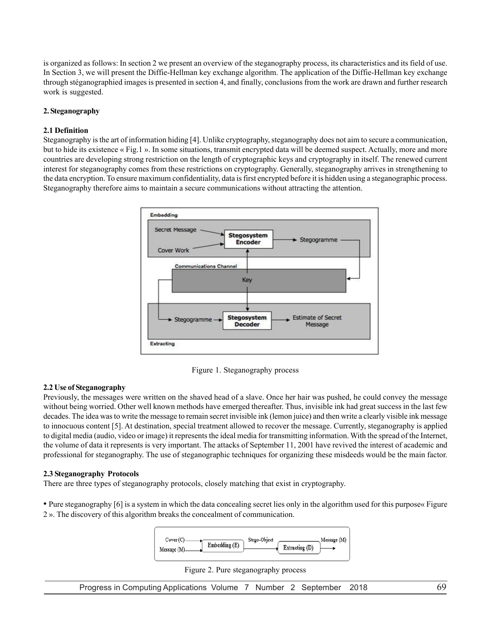is organized as follows: In section 2 we present an overview of the steganography process, its characteristics and its field of use. In Section 3, we will present the Diffie-Hellman key exchange algorithm. The application of the Diffie-Hellman key exchange through stéganographied images is presented in section 4, and finally, conclusions from the work are drawn and further research work is suggested.

# **2. Steganography**

## **2.1 Definition**

Steganography is the art of information hiding [4]. Unlike cryptography, steganography does not aim to secure a communication, but to hide its existence « Fig.1 ». In some situations, transmit encrypted data will be deemed suspect. Actually, more and more countries are developing strong restriction on the length of cryptographic keys and cryptography in itself. The renewed current interest for steganography comes from these restrictions on cryptography. Generally, steganography arrives in strengthening to the data encryption. To ensure maximum confidentiality, data is first encrypted before it is hidden using a steganographic process. Steganography therefore aims to maintain a secure communications without attracting the attention.



Figure 1. Steganography process

# **2.2 Use of Steganography**

Previously, the messages were written on the shaved head of a slave. Once her hair was pushed, he could convey the message without being worried. Other well known methods have emerged thereafter. Thus, invisible ink had great success in the last few decades. The idea was to write the message to remain secret invisible ink (lemon juice) and then write a clearly visible ink message to innocuous content [5]. At destination, special treatment allowed to recover the message. Currently, steganography is applied to digital media (audio, video or image) it represents the ideal media for transmitting information. With the spread of the Internet, the volume of data it represents is very important. The attacks of September 11, 2001 have revived the interest of academic and professional for steganography. The use of steganographic techniques for organizing these misdeeds would be the main factor.

## **2.3 Steganography Protocols**

There are three types of steganography protocols, closely matching that exist in cryptography.

• Pure steganography [6] is a system in which the data concealing secret lies only in the algorithm used for this purpose« Figure 2 ». The discovery of this algorithm breaks the concealment of communication.





Progress in Computing Applications Volume 7 Number 2 September 2018 69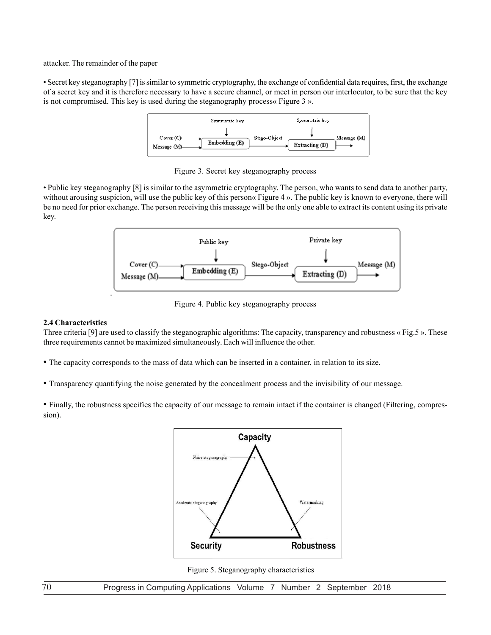attacker. The remainder of the paper

• Secret key steganography [7] is similar to symmetric cryptography, the exchange of confidential data requires, first, the exchange of a secret key and it is therefore necessary to have a secure channel, or meet in person our interlocutor, to be sure that the key is not compromised. This key is used during the steganography process« Figure 3 ».



Figure 3. Secret key steganography process

• Public key steganography [8] is similar to the asymmetric cryptography. The person, who wants to send data to another party, without arousing suspicion, will use the public key of this person« Figure 4 ». The public key is known to everyone, there will be no need for prior exchange. The person receiving this message will be the only one able to extract its content using its private key.



Figure 4. Public key steganography process

# **2.4 Characteristics**

Three criteria [9] are used to classify the steganographic algorithms: The capacity, transparency and robustness « Fig.5 ». These three requirements cannot be maximized simultaneously. Each will influence the other.

- The capacity corresponds to the mass of data which can be inserted in a container, in relation to its size.
- Transparency quantifying the noise generated by the concealment process and the invisibility of our message.

• Finally, the robustness specifies the capacity of our message to remain intact if the container is changed (Filtering, compression).



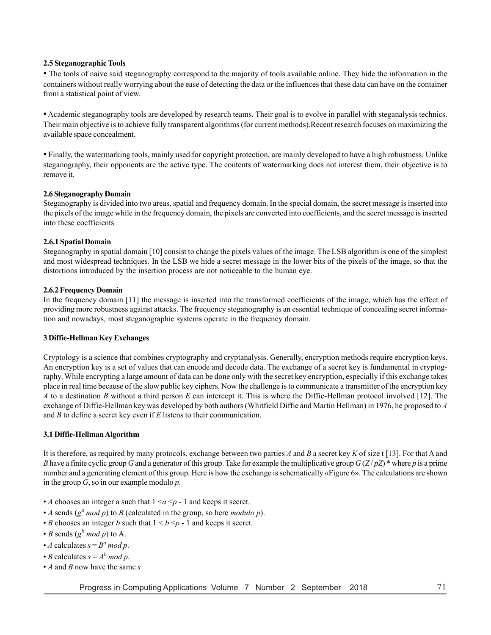## **2.5 Steganographic Tools**

• The tools of naive said steganography correspond to the majority of tools available online. They hide the information in the containers without really worrying about the ease of detecting the data or the influences that these data can have on the container from a statistical point of view.

• Academic steganography tools are developed by research teams. Their goal is to evolve in parallel with steganalysis technics. Their main objective is to achieve fully transparent algorithms (for current methods).Recent research focuses on maximizing the available space concealment.

• Finally, the watermarking tools, mainly used for copyright protection, are mainly developed to have a high robustness. Unlike steganography, their opponents are the active type. The contents of watermarking does not interest them, their objective is to remove it.

## **2.6 Steganography Domain**

Steganography is divided into two areas, spatial and frequency domain. In the special domain, the secret message is inserted into the pixels of the image while in the frequency domain, the pixels are converted into coefficients, and the secret message is inserted into these coefficients

## **2.6.1 Spatial Domain**

Steganography in spatial domain [10] consist to change the pixels values of the image. The LSB algorithm is one of the simplest and most widespread techniques. In the LSB we hide a secret message in the lower bits of the pixels of the image, so that the distortions introduced by the insertion process are not noticeable to the human eye.

#### **2.6.2 Frequency Domain**

In the frequency domain [11] the message is inserted into the transformed coefficients of the image, which has the effect of providing more robustness against attacks. The frequency steganography is an essential technique of concealing secret information and nowadays, most steganographic systems operate in the frequency domain.

## **3 Diffie-Hellman Key Exchanges**

Cryptology is a science that combines cryptography and cryptanalysis. Generally, encryption methods require encryption keys. An encryption key is a set of values that can encode and decode data. The exchange of a secret key is fundamental in cryptography. While encrypting a large amount of data can be done only with the secret key encryption, especially if this exchange takes place in real time because of the slow public key ciphers. Now the challenge is to communicate a transmitter of the encryption key *A* to a destination *B* without a third person *E* can intercept it. This is where the Diffie-Hellman protocol involved [12]. The exchange of Diffie-Hellman key was developed by both authors (Whitfield Diffie and Martin Hellman) in 1976, he proposed to *A* and *B* to define a secret key even if *E* listens to their communication.

## **3.1 Diffie-Hellman Algorithm**

It is therefore, as required by many protocols, exchange between two parties *A* and *B* a secret key *K* of size t [13]. For that A and *B* have a finite cyclic group *G* and a generator of this group. Take for example the multiplicative group  $G(Z/pZ)$ <sup>\*</sup> where *p* is a prime number and a generating element of this group. Here is how the exchange is schematically «Figure 6». The calculations are shown in the group *G*, so in our example modulo *p*.

- *A* chooses an integer a such that  $1 \le a \le p 1$  and keeps it secret.
- *A* sends  $(g^a \mod p)$  to *B* (calculated in the group, so here *modulo p*).
- *B* chooses an integer *b* such that  $1 \le b \le p 1$  and keeps it secret.
- *B* sends  $(g^b \mod p)$  to A.
- *A* calculates  $s = B^a \mod p$ .
- *B* calculates  $s = A^b \mod p$ .
- *A* and *B* now have the same *s*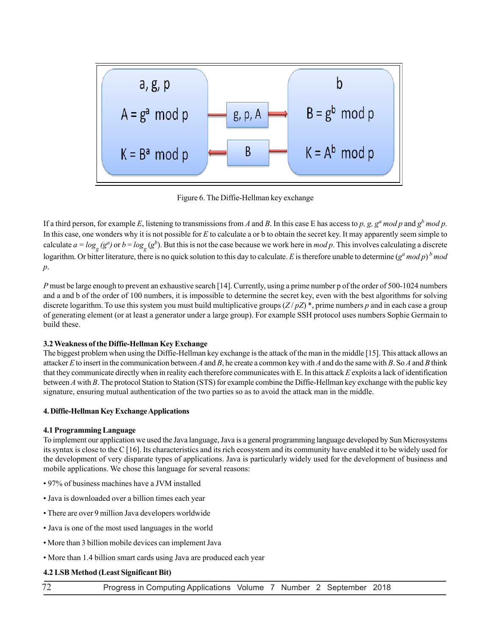

Figure 6. The Diffie-Hellman key exchange

If a third person, for example E, listening to transmissions from A and B. In this case E has access to p, g,  $g^a$  mod p and  $g^b$  mod p. In this case, one wonders why it is not possible for *E* to calculate a or b to obtain the secret key. It may apparently seem simple to calculate  $a = log_{g}(g^{a})$  or  $b = log_{g}(g^{b})$ . But this is not the case because we work here in *mod p*. This involves calculating a discrete logarithm. Or bitter literature, there is no quick solution to this day to calculate. *E* is therefore unable to determine  $(g^a \mod p)^b \mod p$ *p*.

*P* must be large enough to prevent an exhaustive search [14]. Currently, using a prime number p of the order of 500-1024 numbers and a and b of the order of 100 numbers, it is impossible to determine the secret key, even with the best algorithms for solving discrete logarithm. To use this system you must build multiplicative groups (*Z* / *pZ*) \*, prime numbers *p* and in each case a group of generating element (or at least a generator under a large group). For example SSH protocol uses numbers Sophie Germain to build these.

# **3.2 Weakness of the Diffie-Hellman Key Exchange**

The biggest problem when using the Diffie-Hellman key exchange is the attack of the man in the middle [15]. This attack allows an attacker *E* to insert in the communication between *A* and *B*, he create a common key with *A* and do the same with *B*. So *A* and *B* think that they communicate directly when in reality each therefore communicates with E. In this attack *E* exploits a lack of identification between *A* with *B*. The protocol Station to Station (STS) for example combine the Diffie-Hellman key exchange with the public key signature, ensuring mutual authentication of the two parties so as to avoid the attack man in the middle.

# **4. Diffie-Hellman Key Exchange Applications**

# **4.1 Programming Language**

To implement our application we used the Java language, Java is a general programming language developed by Sun Microsystems its syntax is close to the C [16]. Its characteristics and its rich ecosystem and its community have enabled it to be widely used for the development of very disparate types of applications. Java is particularly widely used for the development of business and mobile applications. We chose this language for several reasons:

- 97% of business machines have a JVM installed
- Java is downloaded over a billion times each year
- There are over 9 million Java developers worldwide
- Java is one of the most used languages in the world
- More than 3 billion mobile devices can implement Java
- More than 1.4 billion smart cards using Java are produced each year

# **4.2 LSB Method (Least Significant Bit)**

72 Progress in Computing Applications Volume 7 Number 2 September 2018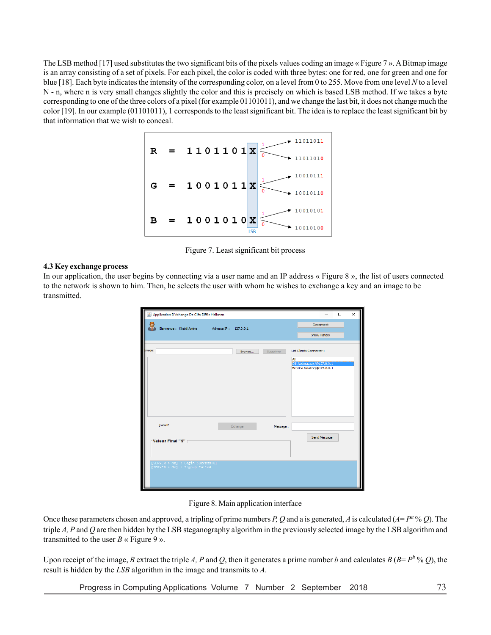The LSB method [17] used substitutes the two significant bits of the pixels values coding an image « Figure 7 ». A Bitmap image is an array consisting of a set of pixels. For each pixel, the color is coded with three bytes: one for red, one for green and one for blue [18]. Each byte indicates the intensity of the corresponding color, on a level from 0 to 255. Move from one level *N* to a level N - n, where n is very small changes slightly the color and this is precisely on which is based LSB method. If we takes a byte corresponding to one of the three colors of a pixel (for example 01101011), and we change the last bit, it does not change much the color [19]. In our example (01101011), 1 corresponds to the least significant bit. The idea is to replace the least significant bit by that information that we wish to conceal.



Figure 7. Least significant bit process

## **4.3 Key exchange process**

In our application, the user begins by connecting via a user name and an IP address « Figure 8 », the list of users connected to the network is shown to him. Then, he selects the user with whom he wishes to exchange a key and an image to be transmitted.

| Application D'échange De Clés Diffie Hellmen<br>$\Box$<br>$\times$ |                     |                                                                                            |  |  |
|--------------------------------------------------------------------|---------------------|--------------------------------------------------------------------------------------------|--|--|
| Bienvenue : Khaldi Amine Macesse IP : 127.0.0.1                    |                     | Deconnect<br><b>Show History</b>                                                           |  |  |
| Image:                                                             | Supprimer<br>Browse | List Clients Connecter :<br>All<br>Dlli Abderazzak/@127.0.0.1<br>Benzina Moatez/@127.0.0.1 |  |  |
| jLabel <sub>2</sub><br>-Valeur Final "\$" :-                       | Échange<br>Message: | Send Message                                                                               |  |  |
| [SERVER > Me] : Login Successful<br>[SERVER > Me] : Signup Failed  |                     |                                                                                            |  |  |

Figure 8. Main application interface

Once these parameters chosen and approved, a tripling of prime numbers *P*, *Q* and a is generated, *A* is calculated ( $A = P^a$ % *Q*). The triple *A, P* and *Q* are then hidden by the LSB steganography algorithm in the previously selected image by the LSB algorithm and transmitted to the user  $B \ltimes F$ igure 9 ».

Upon receipt of the image, *B* extract the triple *A*, *P* and *Q*, then it generates a prime number *b* and calculates *B* ( $B = P^b$  % *Q*), the result is hidden by the *LSB* algorithm in the image and transmits to *A*.

Progress in Computing Applications Volume 7 Number 2 September 2018 73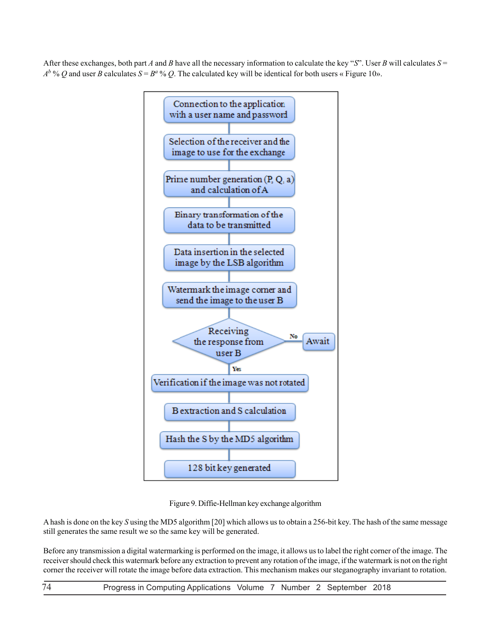After these exchanges, both part *A* and *B* have all the necessary information to calculate the key "*S*". User *B* will calculates  $S =$  $A^b$  % *Q* and user *B* calculates  $S = B^a$  % *Q*. The calculated key will be identical for both users « Figure 10».



Figure 9. Diffie-Hellman key exchange algorithm

A hash is done on the key *S* using the MD5 algorithm [20] which allows us to obtain a 256-bit key. The hash of the same message still generates the same result we so the same key will be generated.

Before any transmission a digital watermarking is performed on the image, it allows us to label the right corner of the image. The receiver should check this watermark before any extraction to prevent any rotation of the image, if the watermark is not on the right corner the receiver will rotate the image before data extraction. This mechanism makes our steganography invariant to rotation.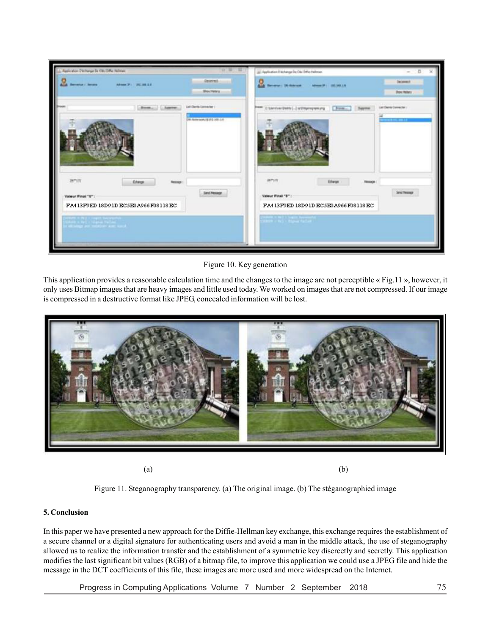| policidos. Discharga Dx Ctis Diffu: Heliman    |                                                         | (a) Application Discharge De Oils Diffic Helmeen |                               |
|------------------------------------------------|---------------------------------------------------------|--------------------------------------------------|-------------------------------|
| ARMA 21 201 201 1 4<br><b>Renatur / Severa</b> | General.<br><b>Show Helena</b>                          | Several Didamas<br>Adverse 07     091 349.176    | December<br><b>Bouttota's</b> |
| <b>Book  Libraries</b>                         | List Clarific Connector 1<br>DW-Noter scary@202 20013.4 | Circombillionsympy [ hm. ] have undertooner      | <b>TABLE TO BE</b>            |
|                                                |                                                         |                                                  |                               |
| arva<br>Edward<br><b>Newspaper</b>             |                                                         | arus<br><b>Edwar</b><br>Telephone                |                               |
| Valeur Final "6" /                             | <b>SANCRAHOLDS</b>                                      | Valeur Pinal "\$" :                              | <b>Stret Renouge</b>          |
| FA413F0ED18D91DEC5E0A066F08118EC               |                                                         | FA413F0ED18D91DEC5E0A066F08118EC                 |                               |
| <b>CARACIAN AND SALE</b>                       |                                                         | <b>Cast The Lines Wilson</b>                     |                               |
|                                                |                                                         |                                                  |                               |

Figure 10. Key generation

This application provides a reasonable calculation time and the changes to the image are not perceptible « Fig.11 », however, it only uses Bitmap images that are heavy images and little used today. We worked on images that are not compressed. If our image is compressed in a destructive format like JPEG, concealed information will be lost.



 $(a)$  (b)

Figure 11. Steganography transparency. (a) The original image. (b) The stéganographied image

# **5. Conclusion**

In this paper we have presented a new approach for the Diffie-Hellman key exchange, this exchange requires the establishment of a secure channel or a digital signature for authenticating users and avoid a man in the middle attack, the use of steganography allowed us to realize the information transfer and the establishment of a symmetric key discreetly and secretly. This application modifies the last significant bit values (RGB) of a bitmap file, to improve this application we could use a JPEG file and hide the message in the DCT coefficients of this file, these images are more used and more widespread on the Internet.

Progress in Computing Applications Volume 7 Number 2 September 2018 75